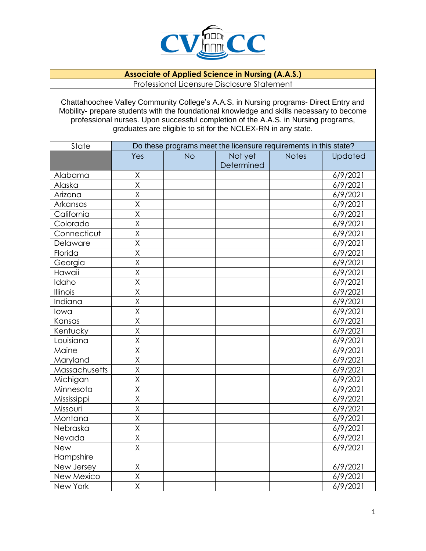

## **Associate of Applied Science in Nursing (A.A.S.)** Professional Licensure Disclosure Statement

Chattahoochee Valley Community College's A.A.S. in Nursing programs- Direct Entry and Mobility- prepare students with the foundational knowledge and skills necessary to become professional nurses. Upon successful completion of the A.A.S. in Nursing programs, graduates are eligible to sit for the NCLEX-RN in any state.

| State         | Do these programs meet the licensure requirements in this state? |           |            |              |          |
|---------------|------------------------------------------------------------------|-----------|------------|--------------|----------|
|               | Yes                                                              | <b>No</b> | Not yet    | <b>Notes</b> | Updated  |
|               |                                                                  |           | Determined |              |          |
| Alabama       | Χ                                                                |           |            |              | 6/9/2021 |
| Alaska        | X                                                                |           |            |              | 6/9/2021 |
| Arizona       | $\overline{\mathsf{x}}$                                          |           |            |              | 6/9/2021 |
| Arkansas      | $\overline{\mathsf{x}}$                                          |           |            |              | 6/9/2021 |
| California    | X                                                                |           |            |              | 6/9/2021 |
| Colorado      | $\overline{\mathsf{x}}$                                          |           |            |              | 6/9/2021 |
| Connecticut   | $\overline{\mathsf{x}}$                                          |           |            |              | 6/9/2021 |
| Delaware      | $\overline{\mathsf{x}}$                                          |           |            |              | 6/9/2021 |
| Florida       | $\overline{\mathsf{x}}$                                          |           |            |              | 6/9/2021 |
| Georgia       | $\overline{\mathsf{X}}$                                          |           |            |              | 6/9/2021 |
| Hawaii        | $\overline{\mathsf{X}}$                                          |           |            |              | 6/9/2021 |
| Idaho         | $\overline{\mathsf{x}}$                                          |           |            |              | 6/9/2021 |
| Illinois      | $\overline{\mathsf{x}}$                                          |           |            |              | 6/9/2021 |
| Indiana       | X                                                                |           |            |              | 6/9/2021 |
| lowa          | $\overline{\mathsf{x}}$                                          |           |            |              | 6/9/2021 |
| Kansas        | X                                                                |           |            |              | 6/9/2021 |
| Kentucky      | X                                                                |           |            |              | 6/9/2021 |
| Louisiana     | $\overline{\mathsf{X}}$                                          |           |            |              | 6/9/2021 |
| Maine         | $\overline{\mathsf{x}}$                                          |           |            |              | 6/9/2021 |
| Maryland      | $\overline{\mathsf{X}}$                                          |           |            |              | 6/9/2021 |
| Massachusetts | $\overline{\mathsf{x}}$                                          |           |            |              | 6/9/2021 |
| Michigan      | $\overline{\mathsf{x}}$                                          |           |            |              | 6/9/2021 |
| Minnesota     | $\overline{\mathsf{X}}$                                          |           |            |              | 6/9/2021 |
| Mississippi   | $\overline{\mathsf{x}}$                                          |           |            |              | 6/9/2021 |
| Missouri      | $\overline{\mathsf{x}}$                                          |           |            |              | 6/9/2021 |
| Montana       | X                                                                |           |            |              | 6/9/2021 |
| Nebraska      | $\overline{\mathsf{X}}$                                          |           |            |              | 6/9/2021 |
| Nevada        | X                                                                |           |            |              | 6/9/2021 |
| <b>New</b>    | $\overline{\mathsf{x}}$                                          |           |            |              | 6/9/2021 |
| Hampshire     |                                                                  |           |            |              |          |
| New Jersey    | $\sf X$                                                          |           |            |              | 6/9/2021 |
| New Mexico    | X                                                                |           |            |              | 6/9/2021 |
| New York      | $\overline{\mathsf{x}}$                                          |           |            |              | 6/9/2021 |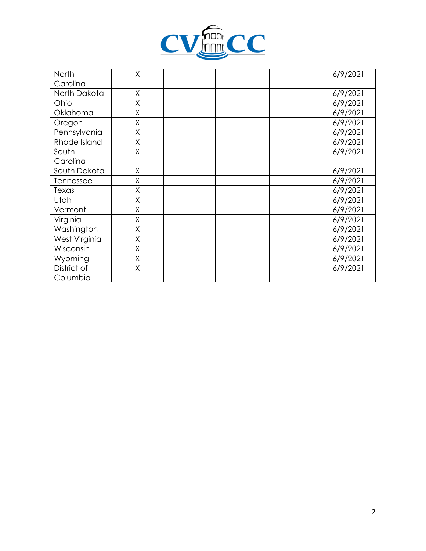

| North         | Χ |  | 6/9/2021 |
|---------------|---|--|----------|
| Carolina      |   |  |          |
| North Dakota  | X |  | 6/9/2021 |
| Ohio          | Χ |  | 6/9/2021 |
| Oklahoma      | Χ |  | 6/9/2021 |
| Oregon        | X |  | 6/9/2021 |
| Pennsylvania  | Χ |  | 6/9/2021 |
| Rhode Island  | Χ |  | 6/9/2021 |
| South         | X |  | 6/9/2021 |
| Carolina      |   |  |          |
| South Dakota  | Χ |  | 6/9/2021 |
| Tennessee     | Χ |  | 6/9/2021 |
| Texas         | Χ |  | 6/9/2021 |
| Utah          | Χ |  | 6/9/2021 |
| Vermont       | Χ |  | 6/9/2021 |
| Virginia      | Χ |  | 6/9/2021 |
| Washington    | Χ |  | 6/9/2021 |
| West Virginia | Χ |  | 6/9/2021 |
| Wisconsin     | Χ |  | 6/9/2021 |
| Wyoming       | X |  | 6/9/2021 |
| District of   | Χ |  | 6/9/2021 |
| Columbia      |   |  |          |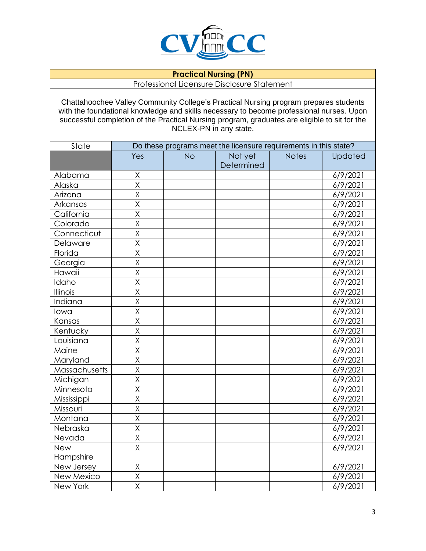

## **Practical Nursing (PN)**

Professional Licensure Disclosure Statement

Chattahoochee Valley Community College's Practical Nursing program prepares students with the foundational knowledge and skills necessary to become professional nurses. Upon successful completion of the Practical Nursing program, graduates are eligible to sit for the NCLEX-PN in any state.

| State         | Do these programs meet the licensure requirements in this state? |           |            |              |          |
|---------------|------------------------------------------------------------------|-----------|------------|--------------|----------|
|               | Yes                                                              | <b>No</b> | Not yet    | <b>Notes</b> | Updated  |
|               |                                                                  |           | Determined |              |          |
| Alabama       | $\sf X$                                                          |           |            |              | 6/9/2021 |
| Alaska        | $\overline{\mathsf{x}}$                                          |           |            |              | 6/9/2021 |
| Arizona       | X                                                                |           |            |              | 6/9/2021 |
| Arkansas      | X                                                                |           |            |              | 6/9/2021 |
| California    | X                                                                |           |            |              | 6/9/2021 |
| Colorado      | $\overline{\mathsf{x}}$                                          |           |            |              | 6/9/2021 |
| Connecticut   | $\overline{\mathsf{x}}$                                          |           |            |              | 6/9/2021 |
| Delaware      | X                                                                |           |            |              | 6/9/2021 |
| Florida       | $\overline{\mathsf{X}}$                                          |           |            |              | 6/9/2021 |
| Georgia       | $\overline{\mathsf{x}}$                                          |           |            |              | 6/9/2021 |
| Hawaii        | $\overline{\mathsf{x}}$                                          |           |            |              | 6/9/2021 |
| Idaho         | $\overline{\mathsf{x}}$                                          |           |            |              | 6/9/2021 |
| Illinois      | $\overline{\mathsf{X}}$                                          |           |            |              | 6/9/2021 |
| Indiana       | $\overline{\mathsf{x}}$                                          |           |            |              | 6/9/2021 |
| lowa          | X                                                                |           |            |              | 6/9/2021 |
| Kansas        | X                                                                |           |            |              | 6/9/2021 |
| Kentucky      | $\overline{\mathsf{x}}$                                          |           |            |              | 6/9/2021 |
| Louisiana     | $\overline{\mathsf{x}}$                                          |           |            |              | 6/9/2021 |
| Maine         | $\overline{\mathsf{x}}$                                          |           |            |              | 6/9/2021 |
| Maryland      | X                                                                |           |            |              | 6/9/2021 |
| Massachusetts | X                                                                |           |            |              | 6/9/2021 |
| Michigan      | X                                                                |           |            |              | 6/9/2021 |
| Minnesota     | $\overline{\mathsf{x}}$                                          |           |            |              | 6/9/2021 |
| Mississippi   | X                                                                |           |            |              | 6/9/2021 |
| Missouri      | X                                                                |           |            |              | 6/9/2021 |
| Montana       | X                                                                |           |            |              | 6/9/2021 |
| Nebraska      | X                                                                |           |            |              | 6/9/2021 |
| Nevada        | Χ                                                                |           |            |              | 6/9/2021 |
| <b>New</b>    | $\overline{\mathsf{x}}$                                          |           |            |              | 6/9/2021 |
| Hampshire     |                                                                  |           |            |              |          |
| New Jersey    | $\sf X$                                                          |           |            |              | 6/9/2021 |
| New Mexico    | X                                                                |           |            |              | 6/9/2021 |
| New York      | $\overline{\mathsf{x}}$                                          |           |            |              | 6/9/2021 |